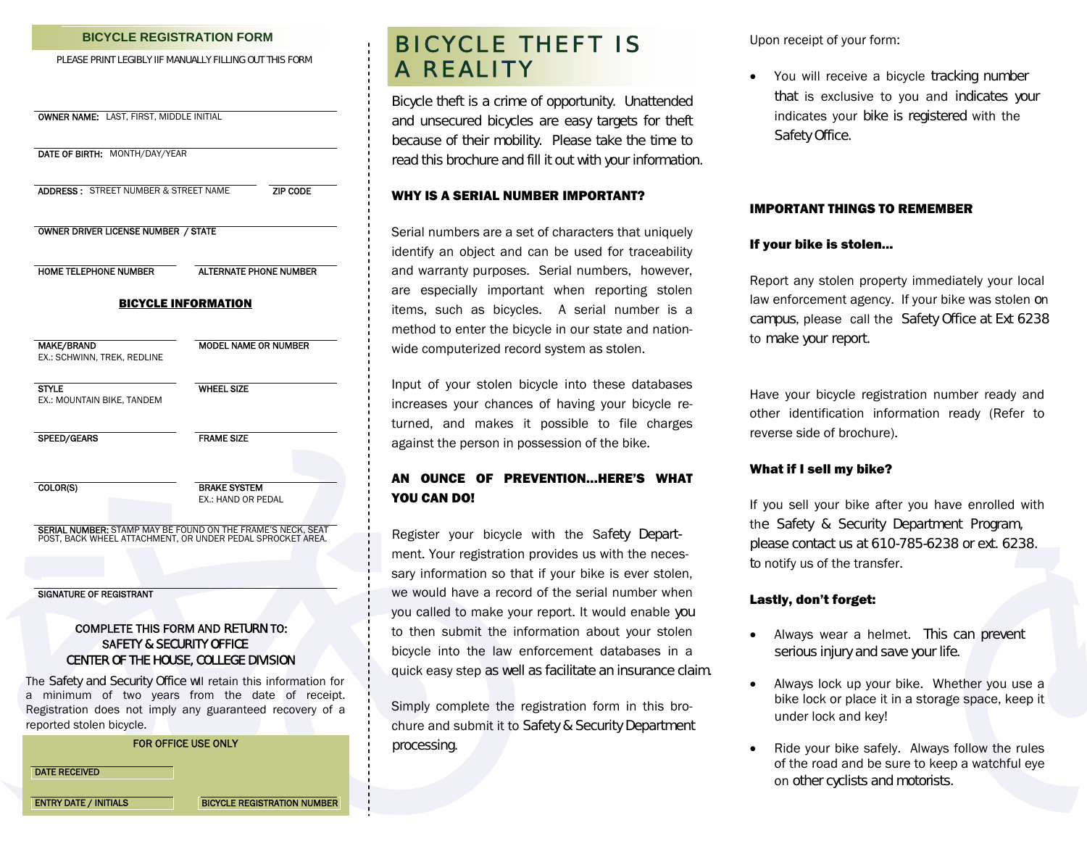### **BICYCLE REGISTRATION FORM**

PLEASE PRINT LEGIBLY IIF MANUALLY FILLING OUT THIS FORM

| DATE OF BIRTH: MONTH/DAY/YEAR                    |                                                                                                                           |
|--------------------------------------------------|---------------------------------------------------------------------------------------------------------------------------|
| <b>ADDRESS: STREET NUMBER &amp; STREET NAME</b>  | ZIP CODE                                                                                                                  |
| OWNER DRIVER LICENSE NUMBER / STATE              |                                                                                                                           |
| HOME TELEPHONE NUMBER                            | <b>ALTERNATE PHONE NUMBER</b>                                                                                             |
|                                                  | <b>BICYCLE INFORMATION</b>                                                                                                |
| <b>MAKE/BRAND</b><br>EX.: SCHWINN, TREK, REDLINE | <b>MODEL NAME OR NUMBER</b>                                                                                               |
| <b>STYLE</b><br>EX.: MOUNTAIN BIKE, TANDEM       | <b>WHEEL SIZE</b>                                                                                                         |
| SPEED/GEARS                                      | <b>FRAME SIZE</b>                                                                                                         |
| COLOR(S)                                         | <b>BRAKE SYSTEM</b><br>EX.: HAND OR PEDAL                                                                                 |
|                                                  | SERIAL NUMBER: STAMP MAY BE FOUND ON THE FRAME'S NECK, SEAT<br>POST, BACK WHEEL ATTACHMENT, OR UNDER PEDAL SPROCKET AREA. |
|                                                  |                                                                                                                           |
| <b>SIGNATURE OF REGISTRANT</b>                   |                                                                                                                           |
| <b>SAFETY &amp; SECURITY OFFICE</b>              | <b>COMPLETE THIS FORM AND RETURN TO:</b>                                                                                  |

a minimum of two years from the date of receipt. Registration does not imply any guaranteed recovery of a reported stolen bicycle.

### FOR OFFICE USE ONLY

DATE RECEIVED

**ENTRY DATE / INITIALS BICYCLE REGISTRATION NUMBER** 

# BICY CLE THEFT IS A REALITY

Bicycle theft is a crime of opportunity. Unattended and unsecured bicycles are easy targets for theft because of their mobility. Please take the time to read this brochure and fill it out with your information.

### WHY IS A SERIAL NUMBER IMPORTANT?

Serial numbers are a set of characters that uniquely identify an object and can be used for traceability and warranty purposes. Serial numbers, however, are especially important when reporting stolen items, such as bicycles. A serial number is a method to enter the bicycle in our state and nationwide computerized record system as stolen.

Input of your stolen bicycle into these databases increases your chances of having your bicycle returned, and makes it possible to file charges against the person in possession of the bike.

## AN OUNCE OF PREVENTION…HERE'S WHAT YOU CAN DO!

Register your bicycle with the Safety Department. Your registration provides us with the necessary information so that if your bike is ever stolen, we would have a record of the serial number when you called to make your report. It would enable you to then submit the information about your stolen bicycle into the law enforcement databases in a quick easy step as well as facilitate an insurance claim.

Simply complete the registration form in this brochure and submit it to Safety & Security Department processing.

Upon receipt of your form:

 $\bullet$  You will receive a bicycle tracking number that is exclusive to you and indicates your indicates your bike is registered with the Safety Office.

### IMPORTANT THINGS TO REMEMBER

### If your bike i s stolen...

Report any stolen property immediately your local law enforce ment agency. If your bike was stolen <sup>o</sup><sup>n</sup> campus, please call the Safety Office at Ext 6238 to make your report.

Have your bicycle registration number ready and other identification information ready (Refer to reverse side of brochure).

### What if I sell my bike?

If you sell your bike after you have enrolled with the Safety & Security Department Program, please contact us at 610-785-6238 or ext. 6238. to notify us of the transfer.

## Lastly, don't forget:

- $\bullet$  Always wear a helmet. This can prevent serious injury and save your life.
- $\bullet$  Always lock up your bike. Whether you use a bike lock or place it in a storage space, keep it under lock and key!
- $\bullet$  Ride your bike safely. Always follow the rules of the road and be sure to keep a watchful eye on other cyclists and motorists.